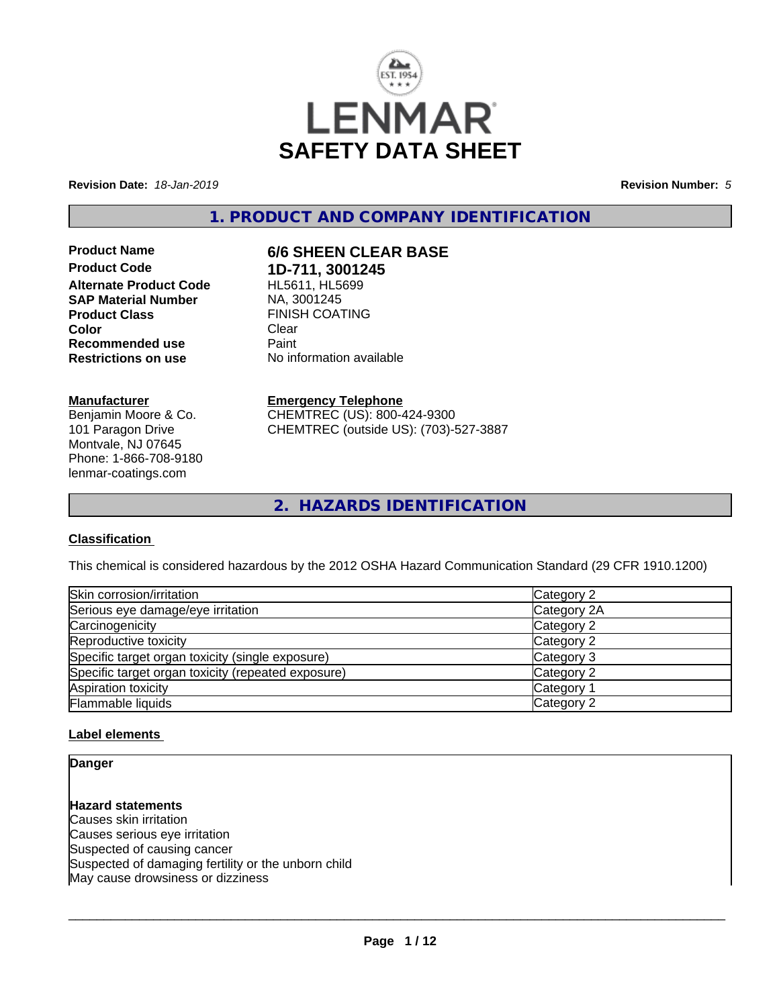

**Revision Date:** *18-Jan-2019* **Revision Number:** *5*

**1. PRODUCT AND COMPANY IDENTIFICATION**

**Product Code 1D-711, 3001245 Alternate Product Code SAP Material Number** NA, 3001245 **Product Class FINISH COATING**<br> **Color** Clear **Color** Clear Clear **Recommended use** Paint **Restrictions on use** No information available

## **Manufacturer**

Benjamin Moore & Co. 101 Paragon Drive Montvale, NJ 07645 Phone: 1-866-708-9180 lenmar-coatings.com

# **Product Name 6/6 SHEEN CLEAR BASE**

**Emergency Telephone** CHEMTREC (US): 800-424-9300

CHEMTREC (outside US): (703)-527-3887

**2. HAZARDS IDENTIFICATION**

## **Classification**

This chemical is considered hazardous by the 2012 OSHA Hazard Communication Standard (29 CFR 1910.1200)

| Skin corrosion/irritation                          | Category 2  |
|----------------------------------------------------|-------------|
| Serious eye damage/eye irritation                  | Category 2A |
| Carcinogenicity                                    | Category 2  |
| Reproductive toxicity                              | Category 2  |
| Specific target organ toxicity (single exposure)   | Category 3  |
| Specific target organ toxicity (repeated exposure) | Category 2  |
| Aspiration toxicity                                | Category 1  |
| Flammable liquids                                  | Category 2  |

## **Label elements**

## **Danger**

**Hazard statements** Causes skin irritation Causes serious eye irritation Suspected of causing cancer Suspected of damaging fertility or the unborn child May cause drowsiness or dizziness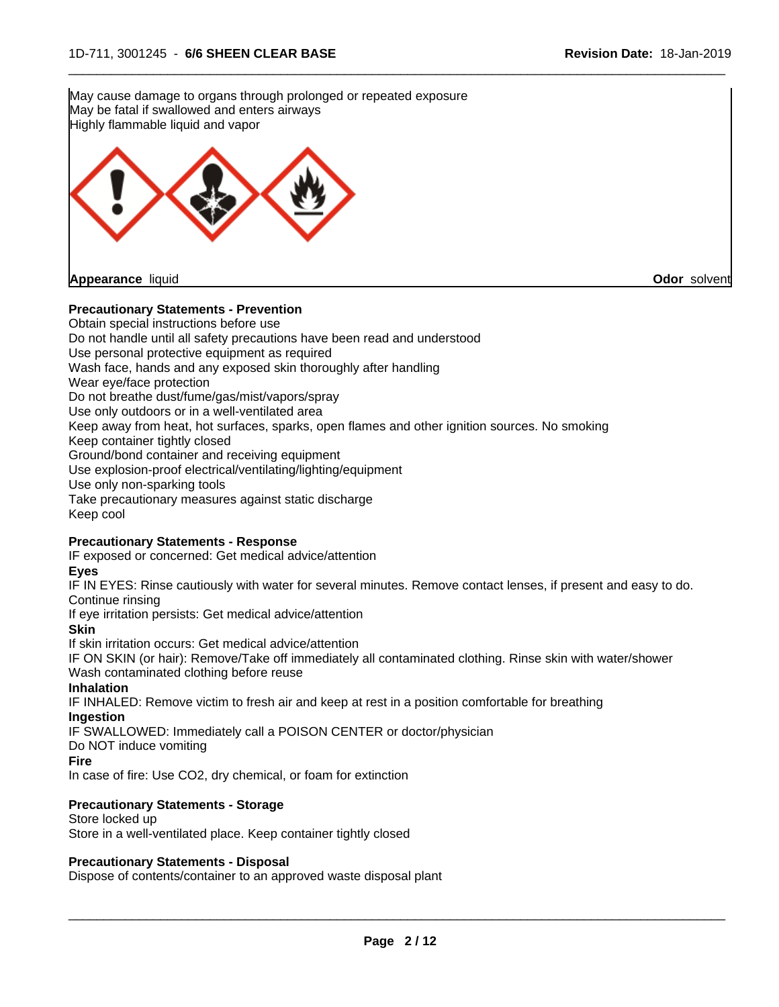May cause damage to organs through prolonged or repeated exposure May be fatal if swallowed and enters airways Highly flammable liquid and vapor

 $\overline{\phantom{a}}$  ,  $\overline{\phantom{a}}$  ,  $\overline{\phantom{a}}$  ,  $\overline{\phantom{a}}$  ,  $\overline{\phantom{a}}$  ,  $\overline{\phantom{a}}$  ,  $\overline{\phantom{a}}$  ,  $\overline{\phantom{a}}$  ,  $\overline{\phantom{a}}$  ,  $\overline{\phantom{a}}$  ,  $\overline{\phantom{a}}$  ,  $\overline{\phantom{a}}$  ,  $\overline{\phantom{a}}$  ,  $\overline{\phantom{a}}$  ,  $\overline{\phantom{a}}$  ,  $\overline{\phantom{a}}$ 

**Appearance** liquid **Odor** solvent

## **Precautionary Statements - Prevention**

Obtain special instructions before use Do not handle until all safety precautions have been read and understood Use personal protective equipment as required Wash face, hands and any exposed skin thoroughly after handling Wear eye/face protection Do not breathe dust/fume/gas/mist/vapors/spray Use only outdoors or in a well-ventilated area Keep away from heat, hot surfaces, sparks, open flames and other ignition sources. No smoking Keep container tightly closed Ground/bond container and receiving equipment Use explosion-proof electrical/ventilating/lighting/equipment Use only non-sparking tools Take precautionary measures against static discharge Keep cool

## **Precautionary Statements - Response**

IF exposed or concerned: Get medical advice/attention

## **Eyes**

IF IN EYES: Rinse cautiously with water for several minutes. Remove contact lenses, if present and easy to do. Continue rinsing

If eye irritation persists: Get medical advice/attention

**Skin**

If skin irritation occurs: Get medical advice/attention

IF ON SKIN (or hair): Remove/Take off immediately all contaminated clothing. Rinse skin with water/shower Wash contaminated clothing before reuse

#### **Inhalation**

IF INHALED: Remove victim to fresh air and keep at rest in a position comfortable for breathing **Ingestion**

IF SWALLOWED: Immediately call a POISON CENTER or doctor/physician

Do NOT induce vomiting

### **Fire**

In case of fire: Use CO2, dry chemical, or foam for extinction

## **Precautionary Statements - Storage**

Store locked up Store in a well-ventilated place. Keep container tightly closed

## **Precautionary Statements - Disposal**

Dispose of contents/container to an approved waste disposal plant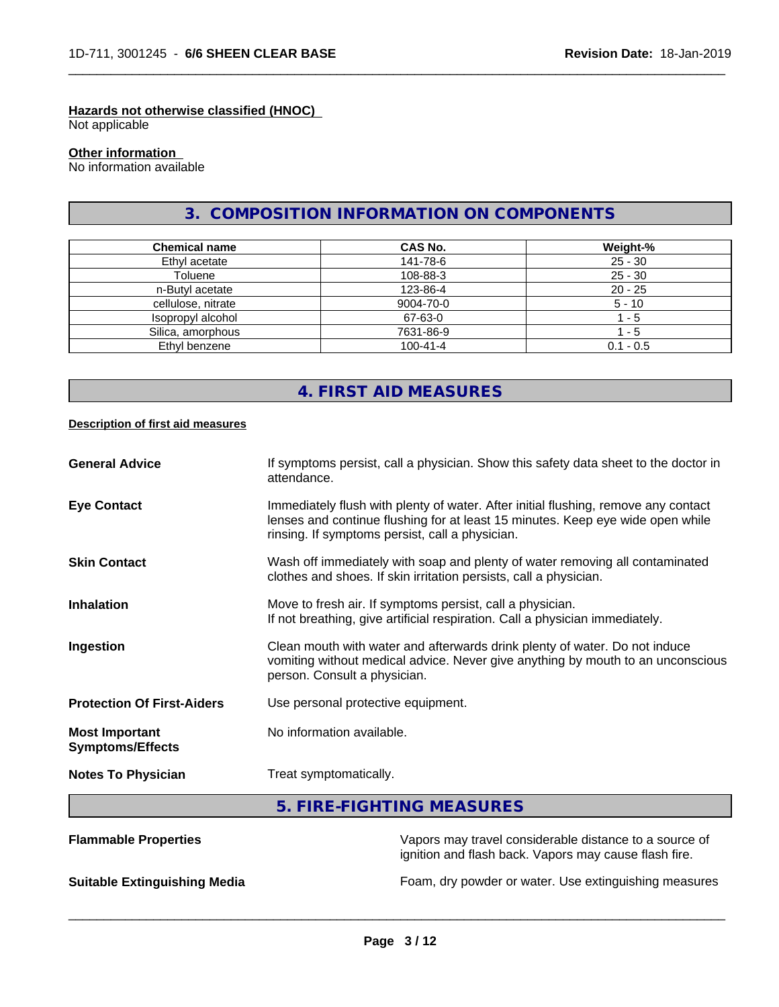## **Hazards not otherwise classified (HNOC)**

Not applicable

## **Other information**

No information available

## **3. COMPOSITION INFORMATION ON COMPONENTS**

 $\overline{\phantom{a}}$  ,  $\overline{\phantom{a}}$  ,  $\overline{\phantom{a}}$  ,  $\overline{\phantom{a}}$  ,  $\overline{\phantom{a}}$  ,  $\overline{\phantom{a}}$  ,  $\overline{\phantom{a}}$  ,  $\overline{\phantom{a}}$  ,  $\overline{\phantom{a}}$  ,  $\overline{\phantom{a}}$  ,  $\overline{\phantom{a}}$  ,  $\overline{\phantom{a}}$  ,  $\overline{\phantom{a}}$  ,  $\overline{\phantom{a}}$  ,  $\overline{\phantom{a}}$  ,  $\overline{\phantom{a}}$ 

| <b>Chemical name</b> | CAS No.        | Weight-%    |
|----------------------|----------------|-------------|
| Ethyl acetate        | 141-78-6       | $25 - 30$   |
| Toluene              | 108-88-3       | $25 - 30$   |
| n-Butyl acetate      | 123-86-4       | $20 - 25$   |
| cellulose, nitrate   | 9004-70-0      | $5 - 10$    |
| Isopropyl alcohol    | 67-63-0        | - 5         |
| Silica, amorphous    | 7631-86-9      | - 5         |
| Ethyl benzene        | $100 - 41 - 4$ | $0.1 - 0.5$ |

## **4. FIRST AID MEASURES**

## **Description of first aid measures**

| <b>General Advice</b>                            | If symptoms persist, call a physician. Show this safety data sheet to the doctor in<br>attendance.                                                                                                                      |
|--------------------------------------------------|-------------------------------------------------------------------------------------------------------------------------------------------------------------------------------------------------------------------------|
| <b>Eye Contact</b>                               | Immediately flush with plenty of water. After initial flushing, remove any contact<br>lenses and continue flushing for at least 15 minutes. Keep eye wide open while<br>rinsing. If symptoms persist, call a physician. |
| <b>Skin Contact</b>                              | Wash off immediately with soap and plenty of water removing all contaminated<br>clothes and shoes. If skin irritation persists, call a physician.                                                                       |
| <b>Inhalation</b>                                | Move to fresh air. If symptoms persist, call a physician.<br>If not breathing, give artificial respiration. Call a physician immediately.                                                                               |
| Ingestion                                        | Clean mouth with water and afterwards drink plenty of water. Do not induce<br>vomiting without medical advice. Never give anything by mouth to an unconscious<br>person. Consult a physician.                           |
| <b>Protection Of First-Aiders</b>                | Use personal protective equipment.                                                                                                                                                                                      |
| <b>Most Important</b><br><b>Symptoms/Effects</b> | No information available.                                                                                                                                                                                               |
| <b>Notes To Physician</b>                        | Treat symptomatically.                                                                                                                                                                                                  |

## **5. FIRE-FIGHTING MEASURES**

| <b>Flammable Properties</b>         | Vapors may travel considerable distance to a source of<br>ignition and flash back. Vapors may cause flash fire. |
|-------------------------------------|-----------------------------------------------------------------------------------------------------------------|
| <b>Suitable Extinguishing Media</b> | Foam, dry powder or water. Use extinguishing measures                                                           |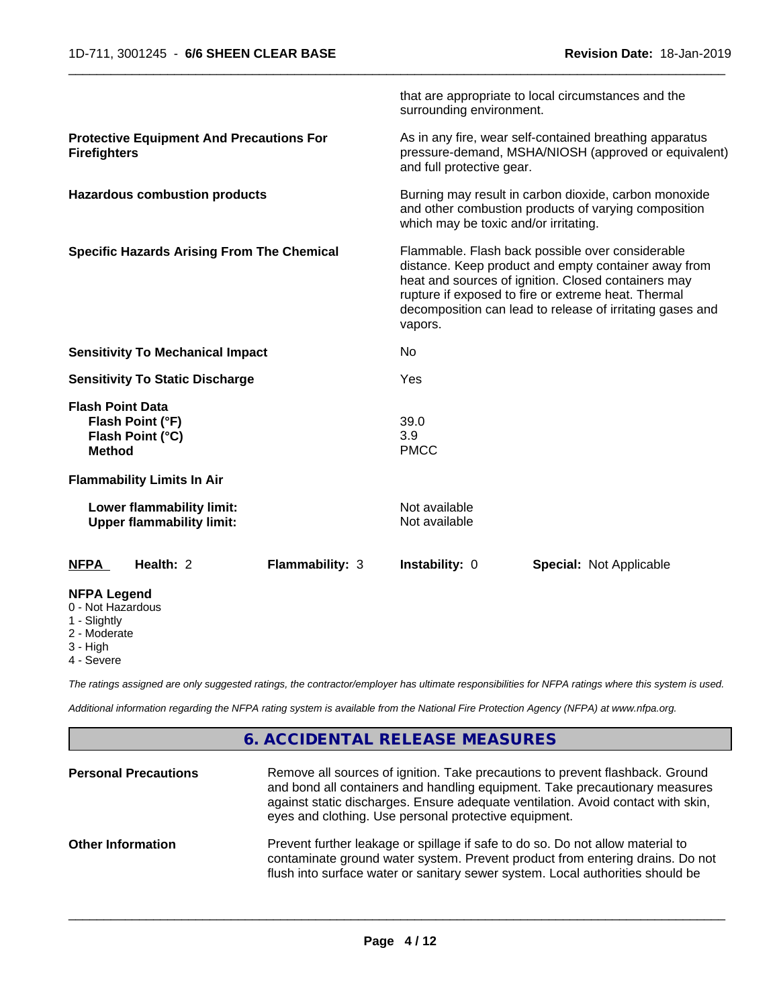|                                                                                  | that are appropriate to local circumstances and the<br>surrounding environment.                                                                                                                                                                                                                |  |
|----------------------------------------------------------------------------------|------------------------------------------------------------------------------------------------------------------------------------------------------------------------------------------------------------------------------------------------------------------------------------------------|--|
| <b>Protective Equipment And Precautions For</b><br><b>Firefighters</b>           | As in any fire, wear self-contained breathing apparatus<br>pressure-demand, MSHA/NIOSH (approved or equivalent)<br>and full protective gear.                                                                                                                                                   |  |
| <b>Hazardous combustion products</b>                                             | Burning may result in carbon dioxide, carbon monoxide<br>and other combustion products of varying composition<br>which may be toxic and/or irritating.                                                                                                                                         |  |
| <b>Specific Hazards Arising From The Chemical</b>                                | Flammable. Flash back possible over considerable<br>distance. Keep product and empty container away from<br>heat and sources of ignition. Closed containers may<br>rupture if exposed to fire or extreme heat. Thermal<br>decomposition can lead to release of irritating gases and<br>vapors. |  |
| <b>Sensitivity To Mechanical Impact</b>                                          | N <sub>o</sub>                                                                                                                                                                                                                                                                                 |  |
| <b>Sensitivity To Static Discharge</b>                                           | Yes                                                                                                                                                                                                                                                                                            |  |
| <b>Flash Point Data</b><br>Flash Point (°F)<br>Flash Point (°C)<br><b>Method</b> | 39.0<br>3.9<br><b>PMCC</b>                                                                                                                                                                                                                                                                     |  |
| <b>Flammability Limits In Air</b>                                                |                                                                                                                                                                                                                                                                                                |  |
| Lower flammability limit:<br><b>Upper flammability limit:</b>                    | Not available<br>Not available                                                                                                                                                                                                                                                                 |  |
| Health: 2<br>Flammability: 3<br><b>NFPA</b>                                      | Instability: 0<br><b>Special: Not Applicable</b>                                                                                                                                                                                                                                               |  |
| <b>NFPA Legend</b><br>0 - Not Hazardous                                          |                                                                                                                                                                                                                                                                                                |  |

- 1 Slightly
- 2 Moderate
- 3 High
- 4 Severe

*The ratings assigned are only suggested ratings, the contractor/employer has ultimate responsibilities for NFPA ratings where this system is used.*

*Additional information regarding the NFPA rating system is available from the National Fire Protection Agency (NFPA) at www.nfpa.org.*

## **6. ACCIDENTAL RELEASE MEASURES**

| <b>Personal Precautions</b> | Remove all sources of ignition. Take precautions to prevent flashback. Ground<br>and bond all containers and handling equipment. Take precautionary measures<br>against static discharges. Ensure adequate ventilation. Avoid contact with skin,<br>eyes and clothing. Use personal protective equipment. |
|-----------------------------|-----------------------------------------------------------------------------------------------------------------------------------------------------------------------------------------------------------------------------------------------------------------------------------------------------------|
| <b>Other Information</b>    | Prevent further leakage or spillage if safe to do so. Do not allow material to<br>contaminate ground water system. Prevent product from entering drains. Do not<br>flush into surface water or sanitary sewer system. Local authorities should be                                                         |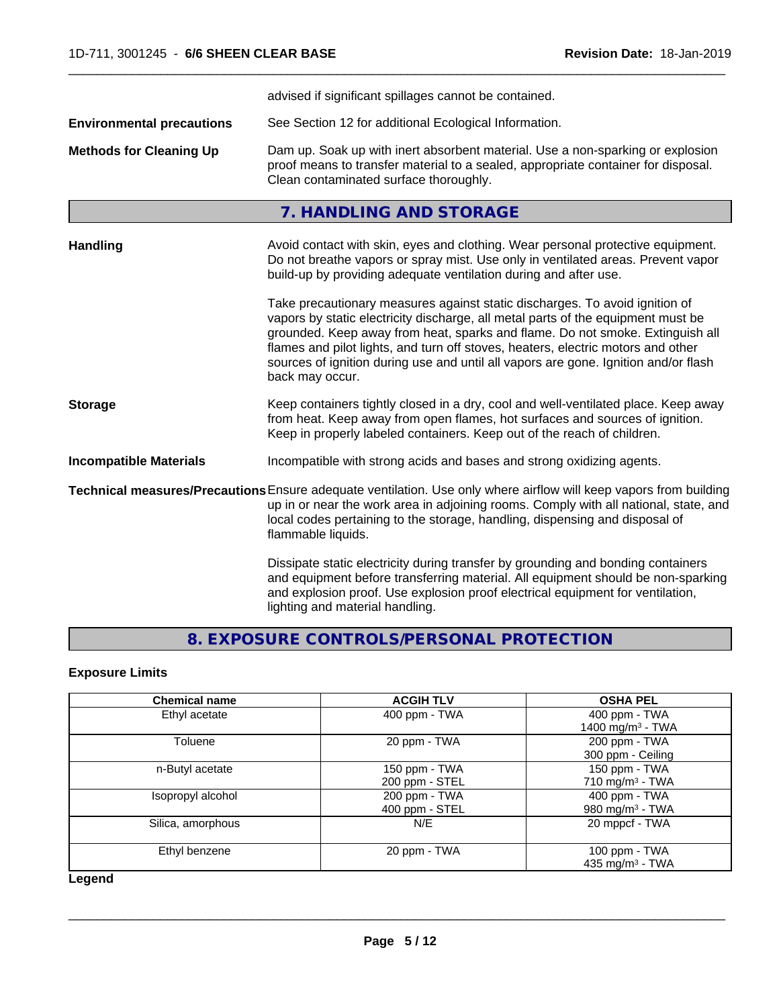|                                  | advised if significant spillages cannot be contained.                                                                                                                                                                                                                                                                                                                                                                                          |
|----------------------------------|------------------------------------------------------------------------------------------------------------------------------------------------------------------------------------------------------------------------------------------------------------------------------------------------------------------------------------------------------------------------------------------------------------------------------------------------|
| <b>Environmental precautions</b> | See Section 12 for additional Ecological Information.                                                                                                                                                                                                                                                                                                                                                                                          |
| <b>Methods for Cleaning Up</b>   | Dam up. Soak up with inert absorbent material. Use a non-sparking or explosion<br>proof means to transfer material to a sealed, appropriate container for disposal.<br>Clean contaminated surface thoroughly.                                                                                                                                                                                                                                  |
|                                  | 7. HANDLING AND STORAGE                                                                                                                                                                                                                                                                                                                                                                                                                        |
| <b>Handling</b>                  | Avoid contact with skin, eyes and clothing. Wear personal protective equipment.<br>Do not breathe vapors or spray mist. Use only in ventilated areas. Prevent vapor<br>build-up by providing adequate ventilation during and after use.                                                                                                                                                                                                        |
|                                  | Take precautionary measures against static discharges. To avoid ignition of<br>vapors by static electricity discharge, all metal parts of the equipment must be<br>grounded. Keep away from heat, sparks and flame. Do not smoke. Extinguish all<br>flames and pilot lights, and turn off stoves, heaters, electric motors and other<br>sources of ignition during use and until all vapors are gone. Ignition and/or flash<br>back may occur. |
| <b>Storage</b>                   | Keep containers tightly closed in a dry, cool and well-ventilated place. Keep away<br>from heat. Keep away from open flames, hot surfaces and sources of ignition.<br>Keep in properly labeled containers. Keep out of the reach of children.                                                                                                                                                                                                  |
| <b>Incompatible Materials</b>    | Incompatible with strong acids and bases and strong oxidizing agents.                                                                                                                                                                                                                                                                                                                                                                          |
|                                  | Technical measures/Precautions Ensure adequate ventilation. Use only where airflow will keep vapors from building<br>up in or near the work area in adjoining rooms. Comply with all national, state, and<br>local codes pertaining to the storage, handling, dispensing and disposal of<br>flammable liquids.                                                                                                                                 |
|                                  | Dissipate static electricity during transfer by grounding and bonding containers<br>and equipment before transferring material. All equipment should be non-sparking<br>and explosion proof. Use explosion proof electrical equipment for ventilation,<br>lighting and material handling.                                                                                                                                                      |

# **8. EXPOSURE CONTROLS/PERSONAL PROTECTION**

## **Exposure Limits**

| <b>Chemical name</b> | <b>ACGIH TLV</b>                | <b>OSHA PEL</b>                               |
|----------------------|---------------------------------|-----------------------------------------------|
| Ethyl acetate        | 400 ppm - TWA                   | 400 ppm - TWA<br>1400 mg/m <sup>3</sup> - TWA |
| Toluene              | 20 ppm - TWA                    | 200 ppm - TWA<br>300 ppm - Ceiling            |
| n-Butyl acetate      | 150 ppm - TWA<br>200 ppm - STEL | 150 ppm - TWA<br>710 mg/m $3$ - TWA           |
| Isopropyl alcohol    | 200 ppm - TWA<br>400 ppm - STEL | 400 ppm - TWA<br>980 mg/m <sup>3</sup> - TWA  |
| Silica, amorphous    | N/E                             | 20 mppcf - TWA                                |
| Ethyl benzene        | 20 ppm - TWA                    | 100 ppm - TWA<br>435 mg/m $3$ - TWA           |

**Legend**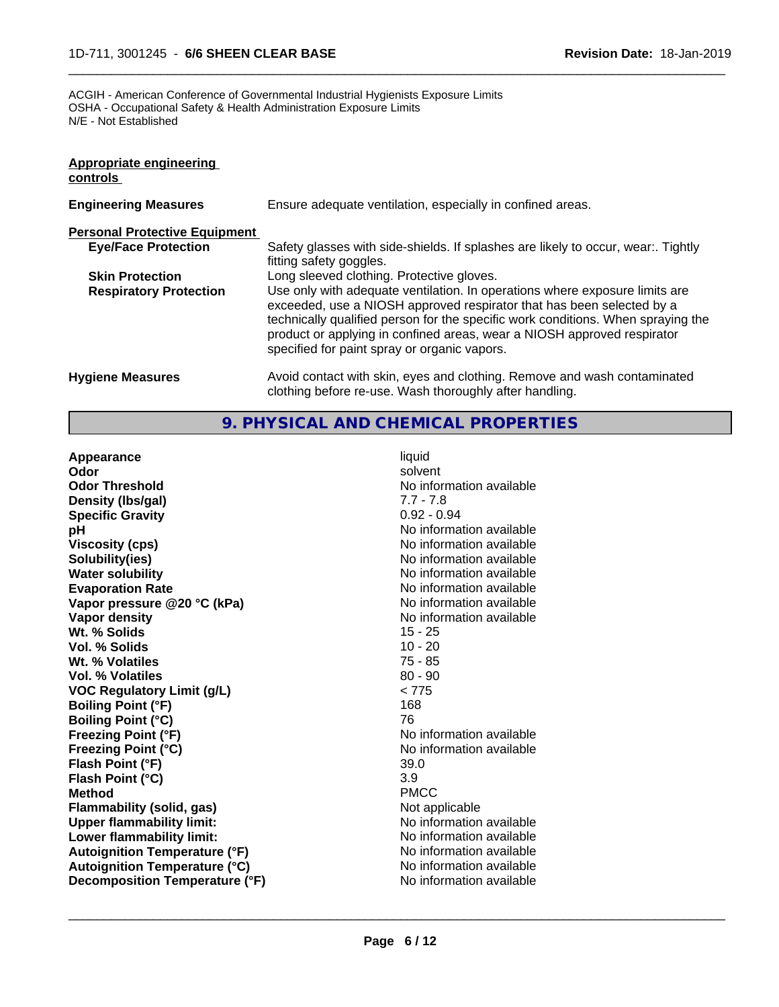ACGIH - American Conference of Governmental Industrial Hygienists Exposure Limits OSHA - Occupational Safety & Health Administration Exposure Limits N/E - Not Established

| Appropriate engineering<br>controls  |                                                                                                                                                                                                                                                                                                                                                                     |
|--------------------------------------|---------------------------------------------------------------------------------------------------------------------------------------------------------------------------------------------------------------------------------------------------------------------------------------------------------------------------------------------------------------------|
| <b>Engineering Measures</b>          | Ensure adequate ventilation, especially in confined areas.                                                                                                                                                                                                                                                                                                          |
| <b>Personal Protective Equipment</b> |                                                                                                                                                                                                                                                                                                                                                                     |
| <b>Eye/Face Protection</b>           | Safety glasses with side-shields. If splashes are likely to occur, wear:. Tightly<br>fitting safety goggles.                                                                                                                                                                                                                                                        |
| <b>Skin Protection</b>               | Long sleeved clothing. Protective gloves.                                                                                                                                                                                                                                                                                                                           |
| <b>Respiratory Protection</b>        | Use only with adequate ventilation. In operations where exposure limits are<br>exceeded, use a NIOSH approved respirator that has been selected by a<br>technically qualified person for the specific work conditions. When spraying the<br>product or applying in confined areas, wear a NIOSH approved respirator<br>specified for paint spray or organic vapors. |
| <b>Hygiene Measures</b>              | Avoid contact with skin, eyes and clothing. Remove and wash contaminated<br>clothing before re-use. Wash thoroughly after handling.                                                                                                                                                                                                                                 |

 $\overline{\phantom{a}}$  ,  $\overline{\phantom{a}}$  ,  $\overline{\phantom{a}}$  ,  $\overline{\phantom{a}}$  ,  $\overline{\phantom{a}}$  ,  $\overline{\phantom{a}}$  ,  $\overline{\phantom{a}}$  ,  $\overline{\phantom{a}}$  ,  $\overline{\phantom{a}}$  ,  $\overline{\phantom{a}}$  ,  $\overline{\phantom{a}}$  ,  $\overline{\phantom{a}}$  ,  $\overline{\phantom{a}}$  ,  $\overline{\phantom{a}}$  ,  $\overline{\phantom{a}}$  ,  $\overline{\phantom{a}}$ 

## **9. PHYSICAL AND CHEMICAL PROPERTIES**

**Appearance** liquid **Odor** solvent **Odor Threshold** No information available **Density (lbs/gal)** 7.7 - 7.8 **Specific Gravity** 0.92 - 0.94 **pH pH**  $\blacksquare$ **Viscosity (cps)** <br> **Viscosity (cps)** No information available<br>
No information available<br>
No information available **Water solubility** No information available **Evaporation Rate**<br> **Vapor pressure @20 °C (kPa)** No information available<br>
No information available **Vapor** pressure @20 °C (kPa) **Vapor density No information available No information available Wt. % Solids** 15 - 25<br> **Vol. % Solids** 10 - 20 **Vol. % Solids Wt. % Volatiles** 75 - 85 **Vol. % Volatiles** 80 - 90 **VOC Regulatory Limit (g/L)** < 775 **Boiling Point (°F)** 168 **Boiling Point (°C)** 76 **Freezing Point (°F)** The state of the state of the Noinformation available **Freezing Point (°C)** No information available **Flash Point (°F)** 39.0 **Flash Point (°C)** 3.9 **Method** PMCC **Flammability (solid, gas)** Not applicable **Upper flammability limit:** No information available **Lower flammability limit:** No information available **Autoignition Temperature (°F)** No information available **Autoignition Temperature (°C)**<br> **Decomposition Temperature (°F)** No information available **Decomposition Temperature (°F)** 

**Solubility(ies)** No information available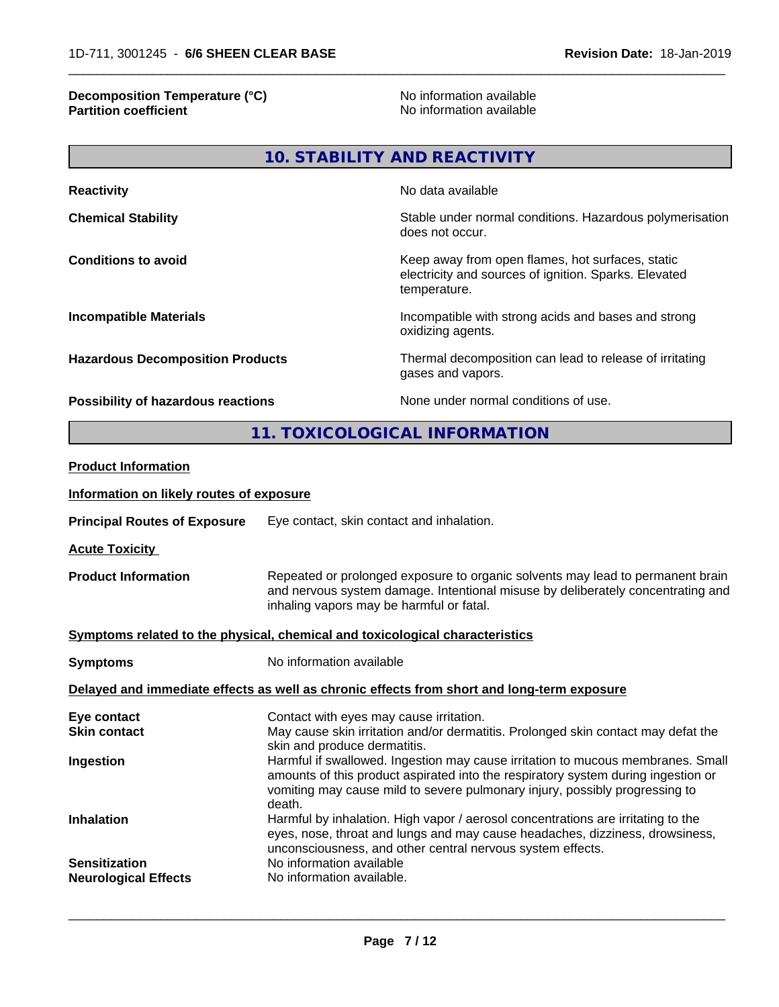## **Decomposition Temperature (°C)** No information available **Partition coefficient** and the settlement of the settlement of the No information available and the settlement of the settlement of the settlement of the settlement of the settlement of the settlement of the settlement of

 $\overline{\phantom{a}}$  ,  $\overline{\phantom{a}}$  ,  $\overline{\phantom{a}}$  ,  $\overline{\phantom{a}}$  ,  $\overline{\phantom{a}}$  ,  $\overline{\phantom{a}}$  ,  $\overline{\phantom{a}}$  ,  $\overline{\phantom{a}}$  ,  $\overline{\phantom{a}}$  ,  $\overline{\phantom{a}}$  ,  $\overline{\phantom{a}}$  ,  $\overline{\phantom{a}}$  ,  $\overline{\phantom{a}}$  ,  $\overline{\phantom{a}}$  ,  $\overline{\phantom{a}}$  ,  $\overline{\phantom{a}}$ 

| <b>Reactivity</b>                       | No data available                                                                                                         |
|-----------------------------------------|---------------------------------------------------------------------------------------------------------------------------|
| <b>Chemical Stability</b>               | Stable under normal conditions. Hazardous polymerisation<br>does not occur.                                               |
| <b>Conditions to avoid</b>              | Keep away from open flames, hot surfaces, static<br>electricity and sources of ignition. Sparks. Elevated<br>temperature. |
| <b>Incompatible Materials</b>           | Incompatible with strong acids and bases and strong<br>oxidizing agents.                                                  |
| <b>Hazardous Decomposition Products</b> | Thermal decomposition can lead to release of irritating<br>gases and vapors.                                              |
| Possibility of hazardous reactions      | None under normal conditions of use.                                                                                      |

**11. TOXICOLOGICAL INFORMATION**

| <b>Product Information</b>               |                                                                                                                                                                                                                                                               |
|------------------------------------------|---------------------------------------------------------------------------------------------------------------------------------------------------------------------------------------------------------------------------------------------------------------|
| Information on likely routes of exposure |                                                                                                                                                                                                                                                               |
| <b>Principal Routes of Exposure</b>      | Eye contact, skin contact and inhalation.                                                                                                                                                                                                                     |
| <b>Acute Toxicity</b>                    |                                                                                                                                                                                                                                                               |
| <b>Product Information</b>               | Repeated or prolonged exposure to organic solvents may lead to permanent brain<br>and nervous system damage. Intentional misuse by deliberately concentrating and<br>inhaling vapors may be harmful or fatal.                                                 |
|                                          | Symptoms related to the physical, chemical and toxicological characteristics                                                                                                                                                                                  |
| <b>Symptoms</b>                          | No information available                                                                                                                                                                                                                                      |
|                                          | Delayed and immediate effects as well as chronic effects from short and long-term exposure                                                                                                                                                                    |
| Eye contact                              | Contact with eyes may cause irritation.                                                                                                                                                                                                                       |
| <b>Skin contact</b>                      | May cause skin irritation and/or dermatitis. Prolonged skin contact may defat the<br>skin and produce dermatitis.                                                                                                                                             |
| Ingestion                                | Harmful if swallowed. Ingestion may cause irritation to mucous membranes. Small<br>amounts of this product aspirated into the respiratory system during ingestion or<br>vomiting may cause mild to severe pulmonary injury, possibly progressing to<br>death. |
| <b>Inhalation</b>                        | Harmful by inhalation. High vapor / aerosol concentrations are irritating to the<br>eyes, nose, throat and lungs and may cause headaches, dizziness, drowsiness,<br>unconsciousness, and other central nervous system effects.                                |
| <b>Sensitization</b>                     | No information available                                                                                                                                                                                                                                      |
| <b>Neurological Effects</b>              | No information available.                                                                                                                                                                                                                                     |
|                                          |                                                                                                                                                                                                                                                               |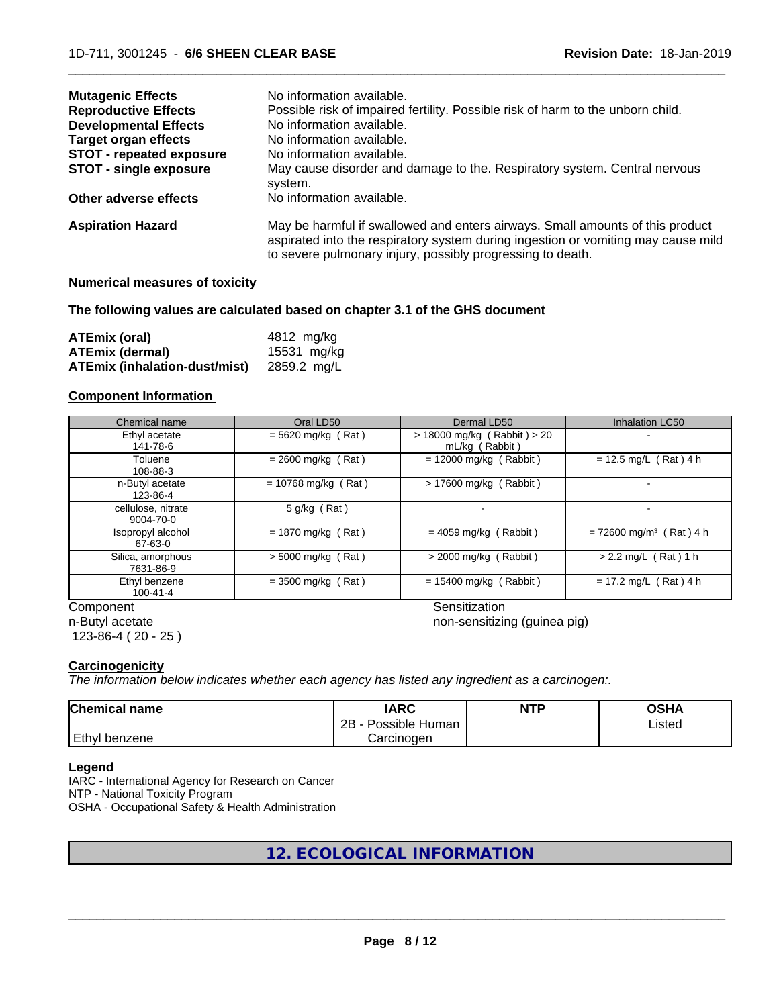| <b>Mutagenic Effects</b>        | No information available.                                                                                                                                                                                                        |
|---------------------------------|----------------------------------------------------------------------------------------------------------------------------------------------------------------------------------------------------------------------------------|
| <b>Reproductive Effects</b>     | Possible risk of impaired fertility. Possible risk of harm to the unborn child.                                                                                                                                                  |
| <b>Developmental Effects</b>    | No information available.                                                                                                                                                                                                        |
| <b>Target organ effects</b>     | No information available.                                                                                                                                                                                                        |
| <b>STOT - repeated exposure</b> | No information available.                                                                                                                                                                                                        |
| <b>STOT - single exposure</b>   | May cause disorder and damage to the. Respiratory system. Central nervous<br>system.                                                                                                                                             |
| Other adverse effects           | No information available.                                                                                                                                                                                                        |
| <b>Aspiration Hazard</b>        | May be harmful if swallowed and enters airways. Small amounts of this product<br>aspirated into the respiratory system during ingestion or vomiting may cause mild<br>to severe pulmonary injury, possibly progressing to death. |

## **Numerical measures of toxicity**

## **The following values are calculated based on chapter 3.1 of the GHS document**

| ATEmix (oral)                 | 4812 mg/ka  |
|-------------------------------|-------------|
| ATEmix (dermal)               | 15531 mg/kg |
| ATEmix (inhalation-dust/mist) | 2859.2 ma/L |

## **Component Information**

| Chemical name                   | Oral LD50             | Dermal LD50                                       | Inhalation LC50                       |
|---------------------------------|-----------------------|---------------------------------------------------|---------------------------------------|
| Ethyl acetate<br>141-78-6       | $= 5620$ mg/kg (Rat)  | $> 18000$ mg/kg (Rabbit) $> 20$<br>mL/kg (Rabbit) |                                       |
| Toluene<br>108-88-3             | $= 2600$ mg/kg (Rat)  | $= 12000$ mg/kg (Rabbit)                          | $= 12.5$ mg/L (Rat) 4 h               |
| n-Butyl acetate<br>123-86-4     | $= 10768$ mg/kg (Rat) | > 17600 mg/kg (Rabbit)                            |                                       |
| cellulose, nitrate<br>9004-70-0 | $5$ g/kg (Rat)        |                                                   |                                       |
| Isopropyl alcohol<br>67-63-0    | $= 1870$ mg/kg (Rat)  | $= 4059$ mg/kg (Rabbit)                           | $= 72600$ mg/m <sup>3</sup> (Rat) 4 h |
| Silica, amorphous<br>7631-86-9  | $>$ 5000 mg/kg (Rat)  | $>$ 2000 mg/kg (Rabbit)                           | $> 2.2$ mg/L (Rat) 1 h                |
| Ethyl benzene<br>$100 - 41 - 4$ | $=$ 3500 mg/kg (Rat)  | $= 15400$ mg/kg (Rabbit)                          | $= 17.2$ mg/L (Rat) 4 h               |
| Component                       |                       | Sensitization                                     |                                       |

n-Butyl acetate 123-86-4 ( 20 - 25 )

 $\overline{\phantom{a}}$  ,  $\overline{\phantom{a}}$  ,  $\overline{\phantom{a}}$  ,  $\overline{\phantom{a}}$  ,  $\overline{\phantom{a}}$  ,  $\overline{\phantom{a}}$  ,  $\overline{\phantom{a}}$  ,  $\overline{\phantom{a}}$  ,  $\overline{\phantom{a}}$  ,  $\overline{\phantom{a}}$  ,  $\overline{\phantom{a}}$  ,  $\overline{\phantom{a}}$  ,  $\overline{\phantom{a}}$  ,  $\overline{\phantom{a}}$  ,  $\overline{\phantom{a}}$  ,  $\overline{\phantom{a}}$ 

non-sensitizing (guinea pig)

## **Carcinogenicity**

*The information below indicateswhether each agency has listed any ingredient as a carcinogen:.*

| <b>Chemical</b><br>name | <b>IARC</b>                  | <b>NTP</b> | ດເ⊔າ<br>∪אח |
|-------------------------|------------------------------|------------|-------------|
|                         | .<br>2B<br>Human<br>Possible |            | ∟isted      |
| Ethyl<br>∣benzene       | Carcinogen                   |            |             |

## **Legend**

IARC - International Agency for Research on Cancer NTP - National Toxicity Program OSHA - Occupational Safety & Health Administration

## **12. ECOLOGICAL INFORMATION**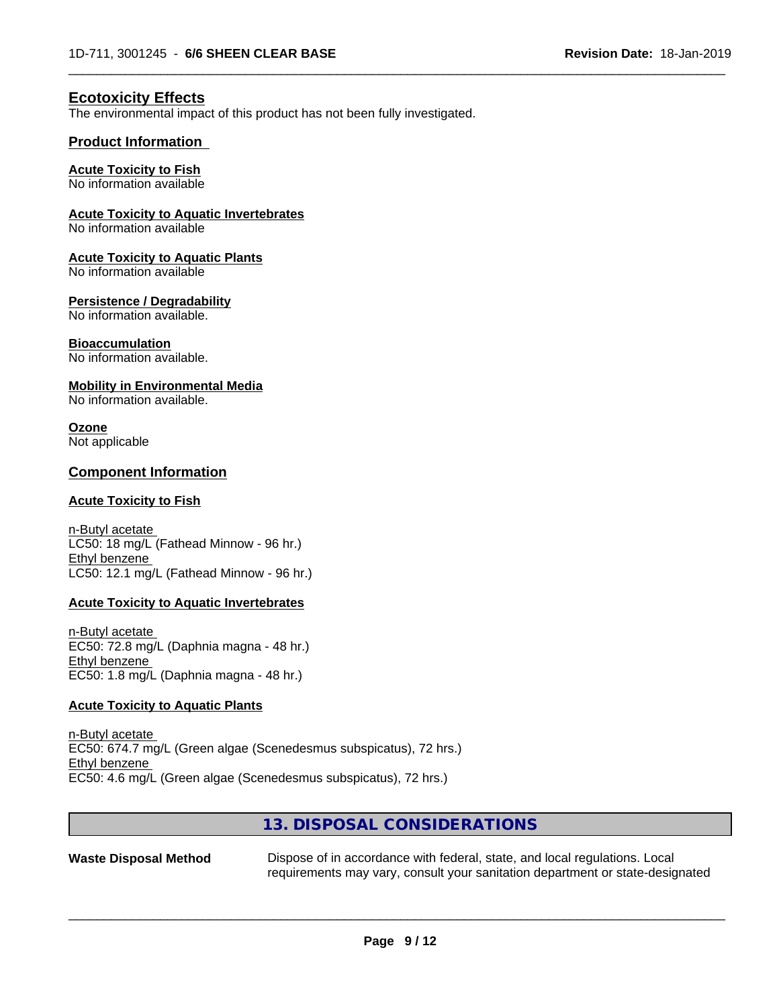## **Ecotoxicity Effects**

The environmental impact of this product has not been fully investigated.

## **Product Information**

## **Acute Toxicity to Fish**

No information available

## **Acute Toxicity to Aquatic Invertebrates**

No information available

### **Acute Toxicity to Aquatic Plants**

No information available

### **Persistence / Degradability**

No information available.

## **Bioaccumulation**

No information available.

### **Mobility in Environmental Media**

No information available.

#### **Ozone** Not applicable

## **Component Information**

## **Acute Toxicity to Fish**

n-Butyl acetate LC50: 18 mg/L (Fathead Minnow - 96 hr.) Ethyl benzene LC50: 12.1 mg/L (Fathead Minnow - 96 hr.)

#### **Acute Toxicity to Aquatic Invertebrates**

n-Butyl acetate EC50: 72.8 mg/L (Daphnia magna - 48 hr.) Ethyl benzene EC50: 1.8 mg/L (Daphnia magna - 48 hr.)

## **Acute Toxicity to Aquatic Plants**

n-Butyl acetate EC50: 674.7 mg/L (Green algae (Scenedesmus subspicatus), 72 hrs.) Ethyl benzene EC50: 4.6 mg/L (Green algae (Scenedesmus subspicatus), 72 hrs.)

## **13. DISPOSAL CONSIDERATIONS**

**Waste Disposal Method** Dispose of in accordance with federal, state, and local regulations. Local requirements may vary, consult your sanitation department or state-designated

 $\overline{\phantom{a}}$  ,  $\overline{\phantom{a}}$  ,  $\overline{\phantom{a}}$  ,  $\overline{\phantom{a}}$  ,  $\overline{\phantom{a}}$  ,  $\overline{\phantom{a}}$  ,  $\overline{\phantom{a}}$  ,  $\overline{\phantom{a}}$  ,  $\overline{\phantom{a}}$  ,  $\overline{\phantom{a}}$  ,  $\overline{\phantom{a}}$  ,  $\overline{\phantom{a}}$  ,  $\overline{\phantom{a}}$  ,  $\overline{\phantom{a}}$  ,  $\overline{\phantom{a}}$  ,  $\overline{\phantom{a}}$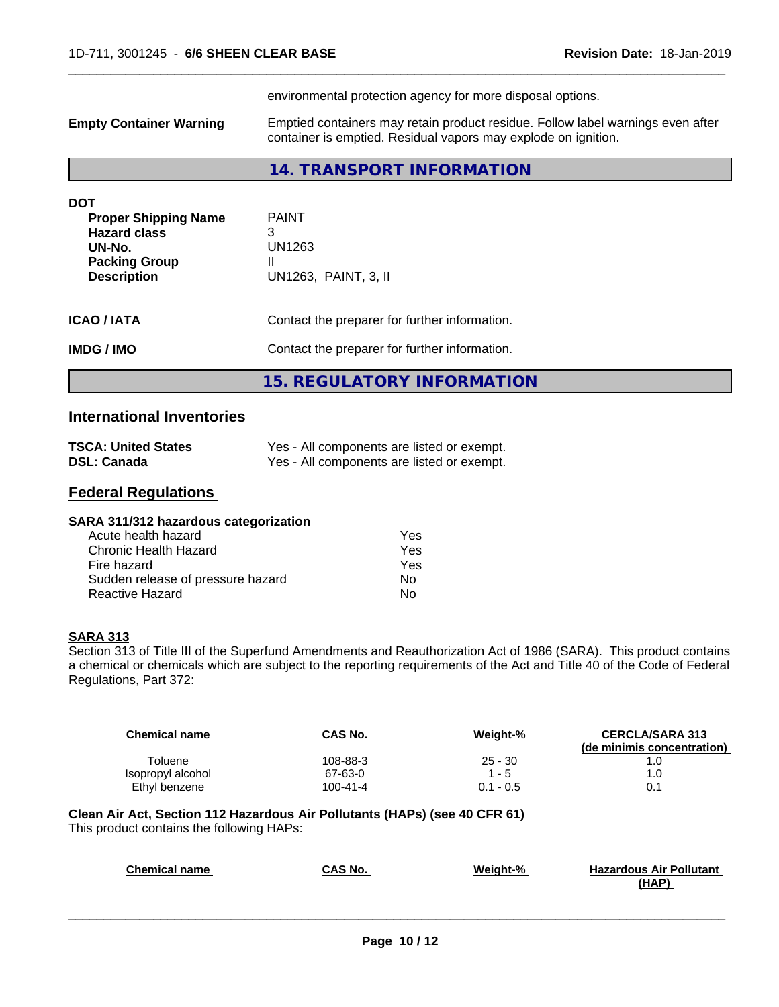environmental protection agency for more disposal options. **Empty Container Warning** Emptied containers may retain product residue. Follow label warnings even after container is emptied. Residual vapors may explode on ignition. **14. TRANSPORT INFORMATION DOT Proper Shipping Name** PAINT **Hazard class** 3<br> **UN-No.** U **UN-No.** UN1263 **Packing Group II Description** UN1263, PAINT, 3, II **ICAO / IATA** Contact the preparer for further information. **IMDG / IMO** Contact the preparer for further information.

 $\overline{\phantom{a}}$  ,  $\overline{\phantom{a}}$  ,  $\overline{\phantom{a}}$  ,  $\overline{\phantom{a}}$  ,  $\overline{\phantom{a}}$  ,  $\overline{\phantom{a}}$  ,  $\overline{\phantom{a}}$  ,  $\overline{\phantom{a}}$  ,  $\overline{\phantom{a}}$  ,  $\overline{\phantom{a}}$  ,  $\overline{\phantom{a}}$  ,  $\overline{\phantom{a}}$  ,  $\overline{\phantom{a}}$  ,  $\overline{\phantom{a}}$  ,  $\overline{\phantom{a}}$  ,  $\overline{\phantom{a}}$ 

**15. REGULATORY INFORMATION**

## **International Inventories**

| <b>TSCA: United States</b> | Yes - All components are listed or exempt. |
|----------------------------|--------------------------------------------|
| <b>DSL: Canada</b>         | Yes - All components are listed or exempt. |

## **Federal Regulations**

| SARA 311/312 hazardous categorization |     |  |
|---------------------------------------|-----|--|
| Acute health hazard                   | Yes |  |
| Chronic Health Hazard                 | Yes |  |
| Fire hazard                           | Yes |  |
| Sudden release of pressure hazard     | No  |  |
| Reactive Hazard                       | No  |  |

## **SARA 313**

Section 313 of Title III of the Superfund Amendments and Reauthorization Act of 1986 (SARA). This product contains a chemical or chemicals which are subject to the reporting requirements of the Act and Title 40 of the Code of Federal Regulations, Part 372:

| <b>Chemical name</b>                                                       | CAS No.        | Weight-%    | <b>CERCLA/SARA 313</b><br>(de minimis concentration) |
|----------------------------------------------------------------------------|----------------|-------------|------------------------------------------------------|
| Toluene                                                                    | 108-88-3       | $25 - 30$   | 1.0                                                  |
| Isopropyl alcohol                                                          | 67-63-0        | $1 - 5$     | 1.0                                                  |
| Ethyl benzene                                                              | $100 - 41 - 4$ | $0.1 - 0.5$ | 0.1                                                  |
| Clean Air Act, Section 112 Hazardous Air Pollutants (HAPs) (see 40 CFR 61) |                |             |                                                      |
| This product contains the following HAPs:                                  |                |             |                                                      |

| <b>Chemical name</b> | CAS No. | Weight-% | <b>Hazardous Air Pollutant</b> |
|----------------------|---------|----------|--------------------------------|
|                      |         |          | (HAP)                          |
|                      |         |          |                                |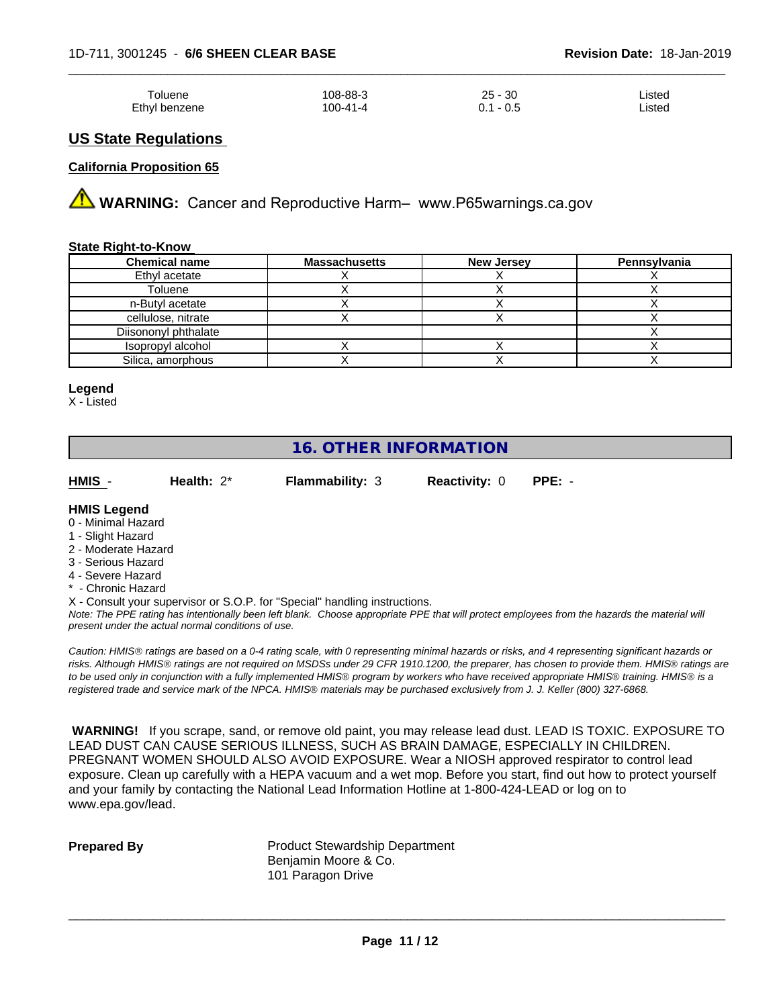| Toluene       | 108-88-3 | 25 - 30      | Listed |
|---------------|----------|--------------|--------|
| Ethyl benzene | 100-41-4 | - 0.5<br>0.1 | ∟isted |

## **US State Regulations**

## **California Proposition 65**

**AN** WARNING: Cancer and Reproductive Harm– www.P65warnings.ca.gov

## **State Right-to-Know**

| <b>Chemical name</b> | <b>Massachusetts</b> | <b>New Jersey</b> | Pennsylvania |
|----------------------|----------------------|-------------------|--------------|
| Ethyl acetate        |                      |                   |              |
| Toluene              |                      |                   |              |
| n-Butyl acetate      |                      |                   |              |
| cellulose, nitrate   |                      |                   |              |
| Diisononyl phthalate |                      |                   |              |
| Isopropyl alcohol    |                      |                   |              |
| Silica, amorphous    |                      |                   |              |

#### **Legend**

X - Listed

## **16. OTHER INFORMATION**

**HMIS** - **Health:** 2\* **Flammability:** 3 **Reactivity:** 0 **PPE:** -

## **HMIS Legend**

- 0 Minimal Hazard
- 1 Slight Hazard
- 2 Moderate Hazard 3 - Serious Hazard
- 
- 4 Severe Hazard **- Chronic Hazard**
- X Consult your supervisor or S.O.P. for "Special" handling instructions.

*Note: The PPE rating has intentionally been left blank. Choose appropriate PPE that will protect employees from the hazards the material will present under the actual normal conditions of use.*

*Caution: HMISÒ ratings are based on a 0-4 rating scale, with 0 representing minimal hazards or risks, and 4 representing significant hazards or risks. Although HMISÒ ratings are not required on MSDSs under 29 CFR 1910.1200, the preparer, has chosen to provide them. HMISÒ ratings are to be used only in conjunction with a fully implemented HMISÒ program by workers who have received appropriate HMISÒ training. HMISÒ is a registered trade and service mark of the NPCA. HMISÒ materials may be purchased exclusively from J. J. Keller (800) 327-6868.*

 **WARNING!** If you scrape, sand, or remove old paint, you may release lead dust. LEAD IS TOXIC. EXPOSURE TO LEAD DUST CAN CAUSE SERIOUS ILLNESS, SUCH AS BRAIN DAMAGE, ESPECIALLY IN CHILDREN. PREGNANT WOMEN SHOULD ALSO AVOID EXPOSURE.Wear a NIOSH approved respirator to control lead exposure. Clean up carefully with a HEPA vacuum and a wet mop. Before you start, find out how to protect yourself and your family by contacting the National Lead Information Hotline at 1-800-424-LEAD or log on to www.epa.gov/lead.

**Prepared By** Product Stewardship Department Benjamin Moore & Co. 101 Paragon Drive